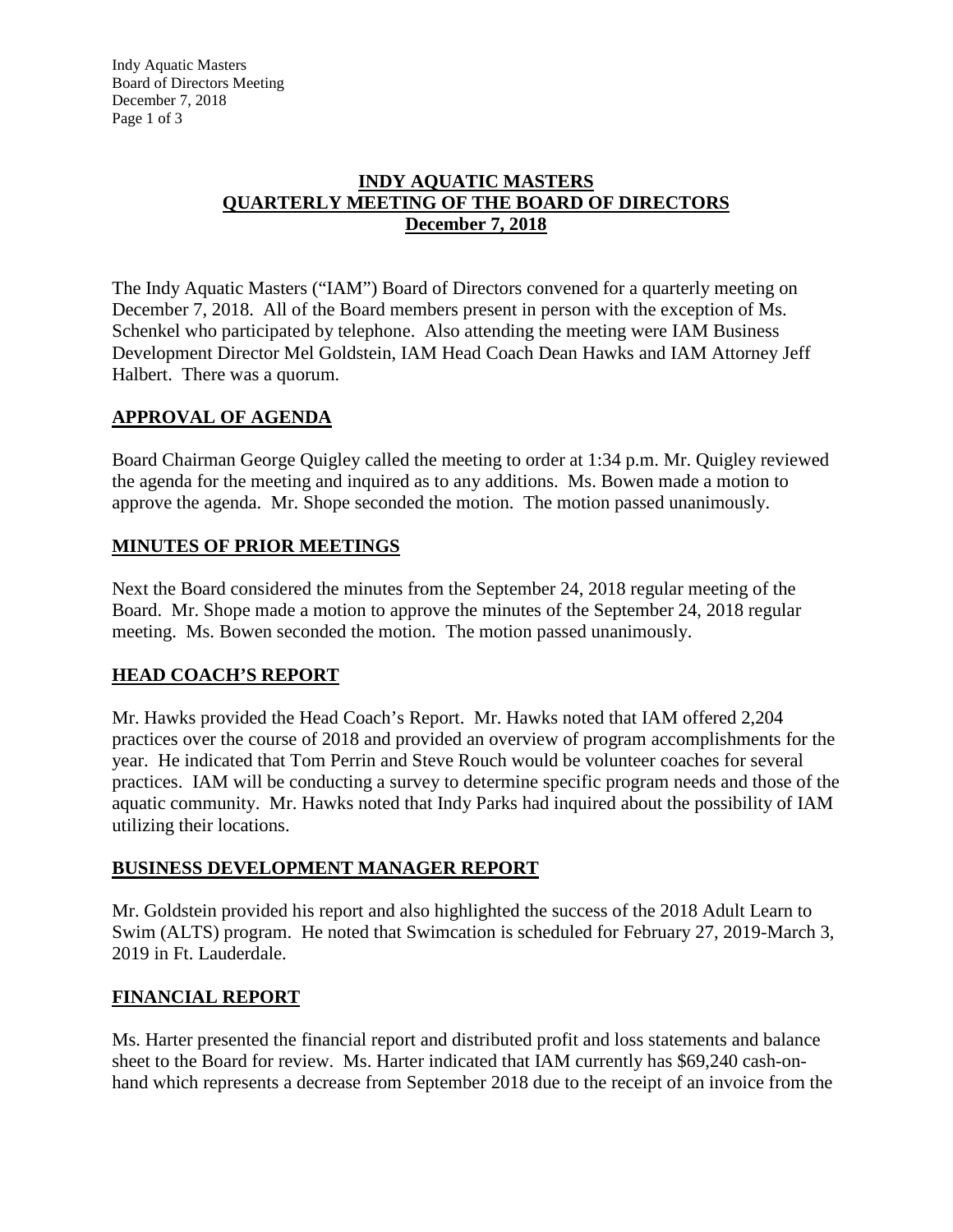Indy Aquatic Masters Board of Directors Meeting December 7, 2018 Page 1 of 3

### **INDY AQUATIC MASTERS QUARTERLY MEETING OF THE BOARD OF DIRECTORS December 7, 2018**

The Indy Aquatic Masters ("IAM") Board of Directors convened for a quarterly meeting on December 7, 2018. All of the Board members present in person with the exception of Ms. Schenkel who participated by telephone. Also attending the meeting were IAM Business Development Director Mel Goldstein, IAM Head Coach Dean Hawks and IAM Attorney Jeff Halbert. There was a quorum.

### **APPROVAL OF AGENDA**

Board Chairman George Quigley called the meeting to order at 1:34 p.m. Mr. Quigley reviewed the agenda for the meeting and inquired as to any additions. Ms. Bowen made a motion to approve the agenda. Mr. Shope seconded the motion. The motion passed unanimously.

### **MINUTES OF PRIOR MEETINGS**

Next the Board considered the minutes from the September 24, 2018 regular meeting of the Board. Mr. Shope made a motion to approve the minutes of the September 24, 2018 regular meeting. Ms. Bowen seconded the motion. The motion passed unanimously.

### **HEAD COACH'S REPORT**

Mr. Hawks provided the Head Coach's Report. Mr. Hawks noted that IAM offered 2,204 practices over the course of 2018 and provided an overview of program accomplishments for the year. He indicated that Tom Perrin and Steve Rouch would be volunteer coaches for several practices. IAM will be conducting a survey to determine specific program needs and those of the aquatic community. Mr. Hawks noted that Indy Parks had inquired about the possibility of IAM utilizing their locations.

#### **BUSINESS DEVELOPMENT MANAGER REPORT**

Mr. Goldstein provided his report and also highlighted the success of the 2018 Adult Learn to Swim (ALTS) program. He noted that Swimcation is scheduled for February 27, 2019-March 3, 2019 in Ft. Lauderdale.

### **FINANCIAL REPORT**

Ms. Harter presented the financial report and distributed profit and loss statements and balance sheet to the Board for review. Ms. Harter indicated that IAM currently has \$69,240 cash-onhand which represents a decrease from September 2018 due to the receipt of an invoice from the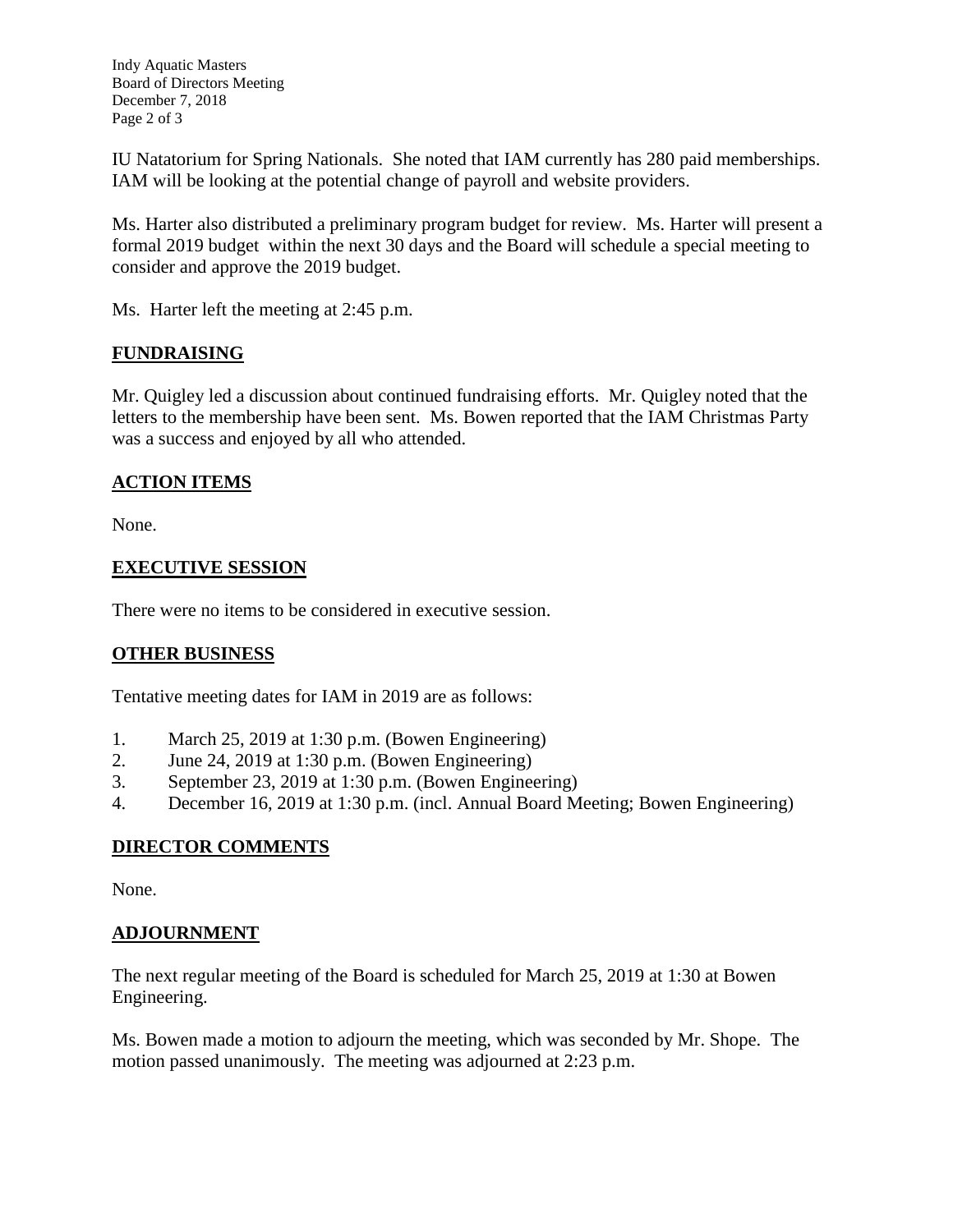Indy Aquatic Masters Board of Directors Meeting December 7, 2018 Page 2 of 3

IU Natatorium for Spring Nationals. She noted that IAM currently has 280 paid memberships. IAM will be looking at the potential change of payroll and website providers.

Ms. Harter also distributed a preliminary program budget for review. Ms. Harter will present a formal 2019 budget within the next 30 days and the Board will schedule a special meeting to consider and approve the 2019 budget.

Ms. Harter left the meeting at 2:45 p.m.

### **FUNDRAISING**

Mr. Quigley led a discussion about continued fundraising efforts. Mr. Quigley noted that the letters to the membership have been sent. Ms. Bowen reported that the IAM Christmas Party was a success and enjoyed by all who attended.

## **ACTION ITEMS**

None.

### **EXECUTIVE SESSION**

There were no items to be considered in executive session.

# **OTHER BUSINESS**

Tentative meeting dates for IAM in 2019 are as follows:

- 1. March 25, 2019 at 1:30 p.m. (Bowen Engineering)
- 2. June 24, 2019 at 1:30 p.m. (Bowen Engineering)
- 3. September 23, 2019 at 1:30 p.m. (Bowen Engineering)
- 4. December 16, 2019 at 1:30 p.m. (incl. Annual Board Meeting; Bowen Engineering)

### **DIRECTOR COMMENTS**

None.

### **ADJOURNMENT**

The next regular meeting of the Board is scheduled for March 25, 2019 at 1:30 at Bowen Engineering.

Ms. Bowen made a motion to adjourn the meeting, which was seconded by Mr. Shope. The motion passed unanimously. The meeting was adjourned at 2:23 p.m.